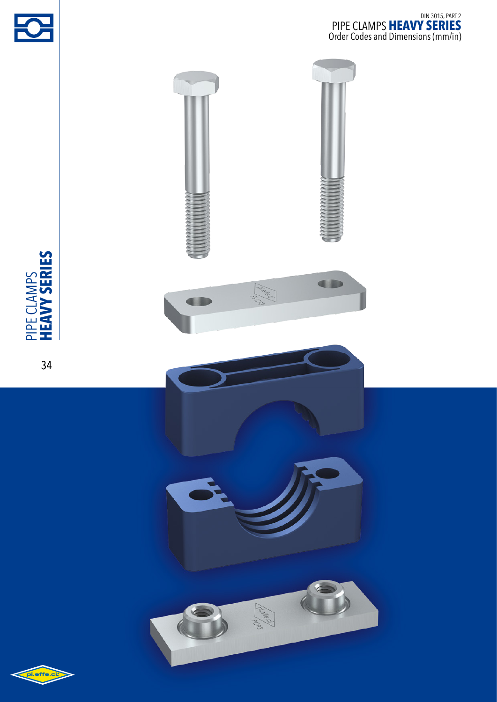





2

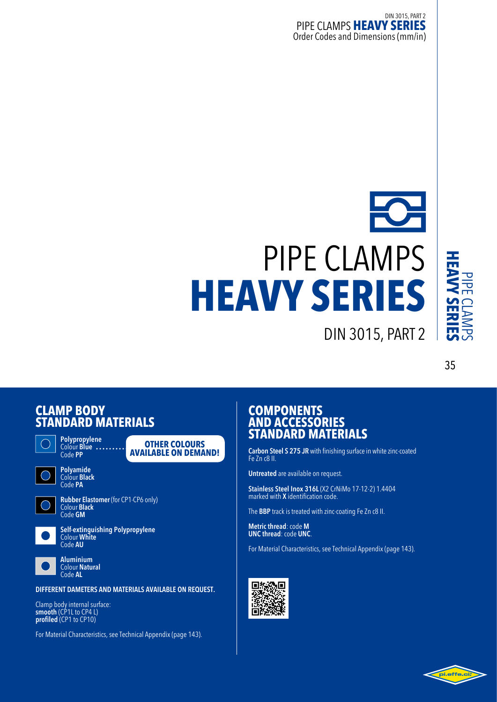# pipe clamps **heavy series**

### 35

### **CLAMP**<sub>B</sub> **STANDARD** M



**Polypropylene**  Colour **Blue** Code **PP**





**Polyamide**  Colour **Black** Code **PA**



**Rubber Elastomer** (for CP1-CP6 only) Colour **Black**  Code **GM**



**Self-extinguishing Polypropylene** Colour **White** Code **AU**



**Aluminium**  Colour **Natural** Code **AL**

**DIFFERENT DAMETERS AND MATERIALS AVAILABLE ON REQUEST.**

Clamp body internal surface: **smooth** (CP1L to CP4 L) **profiled** (CP1 to CP10)

For Material Characteristics, see Technical Appendix (page 143).

### **COMPONENTS AND** A **STANDARD** M

**Carbon Steel S 275 JR** with finishing surface in white zinc-coated Fe Zn c8 II.

din 3015, part 2

**Untreated** are available on request.

**Stainless Steel Inox 316L** (X2 CrNiMo 17-12-2) 1.4404 marked with **X** identification code.

The **BBP** track is treated with zinc-coating Fe Zn c8 II.

**Metric thread**: code **M UNC thread**: code **UNC**.

For Material Characteristics, see Technical Appendix (page 143).



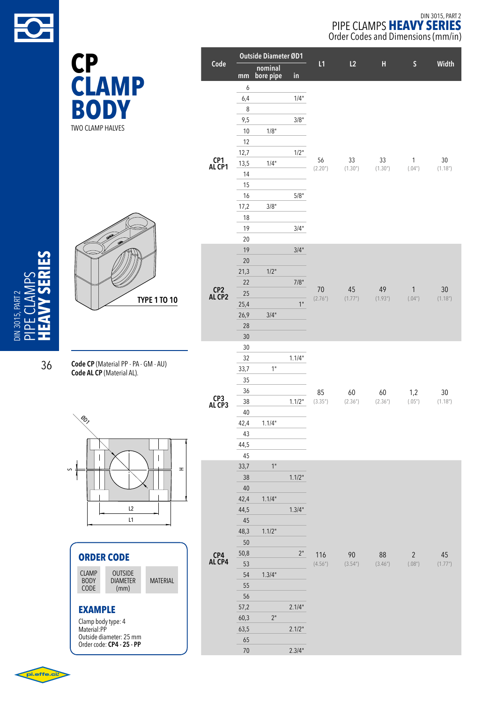

**body**

two clamp halves

#### 6  $6,4$   $1/4"$ 8 9,5 3/8" DIN 3015, PART 2 pipe clamps **heavy series** Order Codes and Dimensions (mm/in) **Code Outside Diameter ØD1 L1 L2 H S Width mm nominal CP bore pipe in clamp**

| <b>TYPE 1 TO 10</b> |
|---------------------|

**Code CP** (Material PP - PA - GM - AU) **Code AL CP** (Material AL).



| <b>ORDER CODE</b> |                |  |
|-------------------|----------------|--|
| <b>CLAMP</b>      | <b>OUTSIDE</b> |  |

| <b>BODY</b><br>CODE <sup>1</sup> | <b>DIAMETER</b><br>(mm) | <b>MATERIAL</b> |
|----------------------------------|-------------------------|-----------------|
|                                  |                         |                 |

**CP4 AL CP4**

65

70 2.3/4"

### **EXAMPLE**

Clamp body type: 4 Material:PP Outside diameter: 25 mm Order code: **CP4 - 25 - PP**

|               | 9,5  |         | $3/8"$ |                            |                             |                            |                        |                             |
|---------------|------|---------|--------|----------------------------|-----------------------------|----------------------------|------------------------|-----------------------------|
|               | 10   | 1/8"    |        |                            |                             |                            |                        |                             |
| CP1<br>AL CP1 | 12   |         |        |                            |                             |                            |                        |                             |
|               | 12,7 |         | 1/2"   |                            |                             |                            |                        |                             |
|               | 13,5 | 1/4"    |        | 56<br>(2.20 <sup>n</sup> ) | 33<br>(1.30 <sup>''</sup> ) | 33<br>(1.30 <sup>n</sup> ) | $\mathbf{1}$<br>(.04") | 30<br>(1.18 <sup>''</sup> ) |
|               | 14   |         |        |                            |                             |                            |                        |                             |
|               | 15   |         |        |                            |                             |                            |                        |                             |
|               | 16   |         | $5/8"$ |                            |                             |                            |                        |                             |
|               | 17,2 | 3/8"    |        |                            |                             |                            |                        |                             |
|               | 18   |         |        |                            |                             |                            |                        |                             |
|               | 19   |         | 3/4"   |                            |                             |                            |                        |                             |
|               | 20   |         |        |                            |                             |                            |                        |                             |
|               | 19   |         | 3/4"   |                            |                             |                            |                        |                             |
| CP2<br>AL CP2 | 20   |         |        |                            |                             |                            |                        |                             |
|               | 21,3 | $1/2$ " |        |                            |                             |                            |                        |                             |
|               | 22   |         | 7/8"   |                            |                             |                            |                        |                             |
|               | 25   |         |        | 70                         | 45                          | 49                         | $\mathbf{1}$           | 30                          |
|               | 25,4 |         | 1"     | (2.76")                    | (1.77")                     | (1.93 <sup>''</sup> )      | (.04")                 | (1.18 <sup>''</sup> )       |
|               | 26,9 | 3/4"    |        |                            |                             |                            |                        |                             |
|               | 28   |         |        |                            |                             |                            |                        |                             |
|               | 30   |         |        |                            |                             |                            |                        |                             |
|               | 30   |         |        |                            |                             |                            |                        |                             |
|               | 32   |         | 1.1/4" |                            |                             |                            |                        |                             |
|               | 33,7 | 1"      |        |                            |                             |                            |                        |                             |
|               | 35   |         |        |                            |                             |                            |                        |                             |
|               | 36   |         |        | 85                         | 60                          | 60                         | 1,2                    | 30                          |
| CP3<br>AL CP3 | 38   |         | 1.1/2" | (3.35")                    | (2.36 <sup>''</sup> )       | (2.36")                    | (.05")                 | (1.18 <sup>''</sup> )       |
|               | 40   |         |        |                            |                             |                            |                        |                             |
|               | 42,4 | 1.1/4"  |        |                            |                             |                            |                        |                             |
|               | 43   |         |        |                            |                             |                            |                        |                             |
|               | 44,5 |         |        |                            |                             |                            |                        |                             |
|               | 45   |         |        |                            |                             |                            |                        |                             |
|               | 33,7 | 1"      |        |                            |                             |                            |                        |                             |





 $\mathcal{\mathcal{L}}$ 

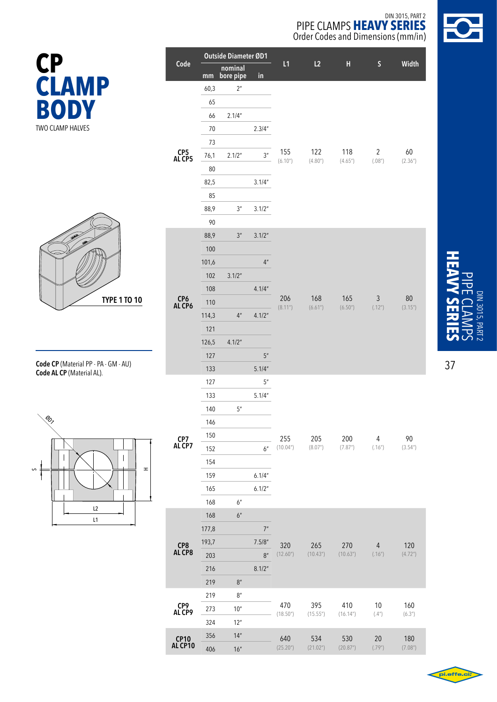

|    | Outside Diameter ØD1   |        |                      |                    |                       |                              |                        |                          |                       |
|----|------------------------|--------|----------------------|--------------------|-----------------------|------------------------------|------------------------|--------------------------|-----------------------|
|    | Code                   | mm     | nominal<br>bore pipe | in                 | L1                    | L2                           | $\mathbf H$            | $\mathsf S$              | Width                 |
|    |                        | 60,3   | 2 <sup>n</sup>       |                    |                       |                              |                        |                          |                       |
|    |                        | 65     |                      |                    |                       |                              |                        |                          |                       |
|    |                        | 66     | 2.1/4"               |                    |                       |                              |                        |                          |                       |
|    |                        | $70\,$ |                      | 2.3/4''            |                       |                              |                        |                          |                       |
|    |                        | 73     |                      |                    |                       |                              |                        |                          |                       |
|    | CP5<br>AL CP5          | 76,1   | 2.1/2"               | 3 <sup>n</sup>     | 155                   | 122                          | 118                    | $\overline{2}$           | 60                    |
|    |                        | $80\,$ |                      |                    | (6.10 <sup>''</sup> ) | (4.80)                       | (4.65")                | (.08")                   | (2.36")               |
|    |                        | 82,5   |                      | 3.1/4"             |                       |                              |                        |                          |                       |
|    |                        | 85     |                      |                    |                       |                              |                        |                          |                       |
|    |                        | 88,9   | 3 <sup>n</sup>       | 3.1/2"             |                       |                              |                        |                          |                       |
|    |                        | 90     |                      |                    |                       |                              |                        |                          |                       |
|    |                        | 88,9   | 3 <sup>n</sup>       | 3.1/2"             |                       |                              |                        |                          |                       |
|    |                        | 100    |                      |                    |                       |                              | 165<br>(6.50")         |                          |                       |
|    |                        | 101,6  |                      | $4^{\prime\prime}$ |                       |                              |                        |                          |                       |
| 10 |                        | 102    | 3.1/2"               |                    |                       |                              |                        |                          |                       |
|    | CP6<br>AL CP6          | 108    |                      | 4.1/4"             |                       |                              |                        |                          |                       |
|    |                        | 110    |                      |                    | 206<br>(8.11")        | 168<br>(6.61")               |                        | $\sqrt{3}$<br>(.12")     | 80<br>(3.15")         |
|    |                        | 114,3  | $4''$                | 4.1/2"             |                       |                              |                        |                          |                       |
|    |                        | 121    |                      |                    |                       |                              |                        |                          |                       |
|    |                        | 126,5  | 4.1/2"               |                    |                       |                              |                        |                          |                       |
|    |                        | 127    |                      | $5''$              |                       |                              |                        |                          |                       |
|    |                        | 133    |                      | 5.1/4"             |                       |                              |                        |                          |                       |
|    |                        | 127    |                      | $5^{\prime\prime}$ |                       |                              |                        |                          |                       |
|    |                        | 133    |                      | 5.1/4"             |                       |                              |                        |                          |                       |
|    |                        | 140    | 5''                  |                    |                       |                              | 200<br>(7.87")         | $\overline{4}$<br>(.16") |                       |
|    |                        | 146    |                      |                    |                       | 205<br>(8.07")               |                        |                          |                       |
|    | CP7                    | 150    |                      |                    | 255                   |                              |                        |                          | 90                    |
|    | AL CP7                 | 152    |                      | 6''                | (10.04")              |                              |                        |                          | (3.54)                |
| H  |                        | 154    |                      |                    |                       |                              |                        |                          |                       |
|    |                        | 159    |                      | 6.1/4"             |                       |                              |                        |                          |                       |
|    |                        | 165    |                      | 6.1/2"             |                       |                              |                        |                          |                       |
|    |                        | 168    | 6''                  |                    |                       |                              |                        |                          |                       |
|    |                        | 168    | 6 <sup>n</sup>       |                    |                       |                              |                        |                          |                       |
|    |                        | 177,8  |                      | $7"$               |                       |                              |                        |                          |                       |
|    | CP8<br>AL CP8          | 193,7  |                      | 7.5/8''            | 320                   | 265                          | 270                    | $\overline{4}$           | 120                   |
|    |                        | 203    |                      | 8 <sup>''</sup>    | (12.60)               | (10.43")                     | (10.63")               | (.16")                   | (4.72 <sup>''</sup> ) |
|    |                        | 216    |                      | 8.1/2"             |                       |                              |                        |                          |                       |
|    |                        | 219    | $8''$                |                    |                       |                              |                        |                          |                       |
|    | CP9                    | 219    | 8 <sup>n</sup>       |                    | 470                   | 395                          | 410                    | 10                       | 160                   |
|    | AL CP9                 | 273    | 10 <sup>''</sup>     |                    | (18.50)               | (15.55")                     | (16.14 <sup>''</sup> ) | (.4")                    | (6.3")                |
|    |                        | 324    | 12 <sup>n</sup>      |                    |                       |                              |                        |                          |                       |
|    | <b>CP10</b><br>AL CP10 | 356    | 14"                  |                    | 640<br>(25.20")       | 534<br>(21.02 <sup>n</sup> ) | 530<br>(20.87")        | 20<br>(.79")             | 180<br>(7.08")        |
|    |                        | 406    | 16"                  |                    |                       |                              |                        |                          |                       |





**Code CP** (Material PP - PA - GM - AU) **Code AL CP** (Material AL).





37

DIN 3015, PART 2

DIN 3015, PART

pipe cl

**heavy series**

 $\blacktriangleright$  $\leq$  $\overline{\mathbf{C}}$  $\mathcal{C}$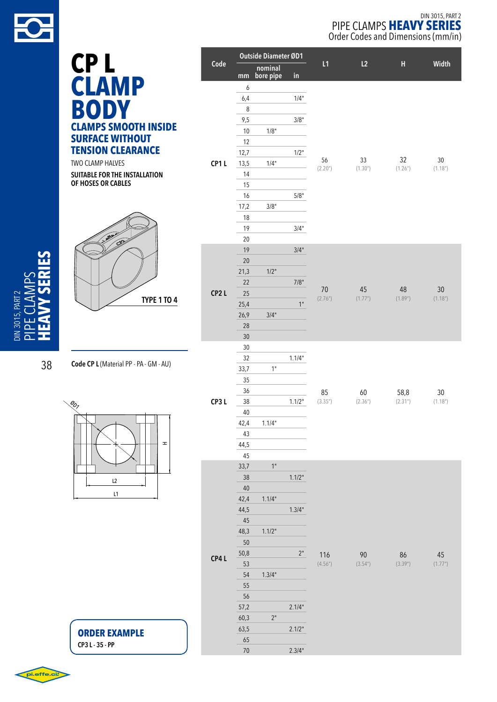

|                                        |      |            |                             |        |               | 0.00. 00009 0.10. DIMONSTONS (1.111 |                           |              |
|----------------------------------------|------|------------|-----------------------------|--------|---------------|-------------------------------------|---------------------------|--------------|
|                                        |      |            | <b>Outside Diameter ØD1</b> |        |               |                                     |                           |              |
| CP <sub>L</sub>                        | Code | mm         | nominal<br>bore pipe        | in     | L1            | L2                                  | $\boldsymbol{\mathsf{H}}$ | Widt         |
| <b>CLAMP</b>                           |      | 6          |                             |        |               |                                     |                           |              |
|                                        |      | 6,4        |                             | 1/4"   |               |                                     |                           |              |
| <b>BODY</b>                            |      | 8          |                             |        |               |                                     |                           |              |
|                                        |      | 9,5        |                             | $3/8"$ |               |                                     |                           |              |
| <b>CLAMPS SMOOTH INSIDE</b>            |      | 10         | 1/8"                        |        |               |                                     |                           |              |
| <b>SURFACE WITHOUT</b>                 |      | 12         |                             |        |               |                                     |                           |              |
| <b>TENSION CLEARANCE</b>               |      | 12,7       |                             | 1/2"   |               |                                     |                           |              |
| TWO CLAMP HALVES                       | CP1L | 13,5       | 1/4"                        |        | 56<br>(2.20") | 33<br>(1.30 <sup>′</sup> )          | 32<br>(1.26)              | 30<br>(1.18" |
| SUITABLE FOR THE INSTALLATION          |      | 14         |                             |        |               |                                     |                           |              |
| OF HOSES OR CABLES                     |      | 15         |                             |        |               |                                     |                           |              |
|                                        |      | 16         |                             | $5/8"$ |               |                                     |                           |              |
|                                        |      | 17,2       | 3/8"                        |        |               |                                     |                           |              |
|                                        |      | 18         |                             |        |               |                                     |                           |              |
|                                        |      | 19         |                             | 3/4"   |               |                                     |                           |              |
|                                        |      | $20\,$     |                             |        |               |                                     |                           |              |
|                                        |      | 19         |                             | 3/4"   |               |                                     |                           |              |
|                                        |      | 20         |                             |        |               |                                     |                           |              |
|                                        |      | 21,3       | 1/2"                        |        |               |                                     |                           |              |
|                                        |      | 22         |                             | 7/8"   | 70            | 45                                  | 48                        | 30           |
| <b>TYPE 1 TO 4</b>                     | CP2L | 25         |                             |        | (2.76")       | (1.77")                             | (1.89")                   | (1.18"       |
|                                        |      | 25,4       |                             | 1"     |               |                                     |                           |              |
|                                        |      | 26,9       | 3/4"                        |        |               |                                     |                           |              |
|                                        |      | 28         |                             |        |               |                                     |                           |              |
|                                        |      | 30         |                             |        |               |                                     |                           |              |
|                                        |      | 30         |                             |        |               |                                     |                           |              |
| Code CP L (Material PP - PA - GM - AU) |      | 32         |                             | 1.1/4" |               |                                     |                           |              |
|                                        |      | 33,7       | 1"                          |        |               |                                     |                           |              |
|                                        |      | 35         |                             |        |               |                                     |                           |              |
|                                        |      | 36         |                             |        | 85            | 60                                  | 58,8                      | 30           |
| $\mathcal{A}_{\mathcal{O}_7}$          | CP3L | 38         |                             | 1.1/2" | (3.35")       | (2.36")                             | (2.31 <sup>''</sup> )     | (1.18"       |
|                                        |      | $40\,$     |                             |        |               |                                     |                           |              |
|                                        |      | 42,4<br>43 | 1.1/4"                      |        |               |                                     |                           |              |
| H                                      |      | 44,5       |                             |        |               |                                     |                           |              |
|                                        |      | 45         |                             |        |               |                                     |                           |              |
|                                        |      | 33,7       | 1"                          |        |               |                                     |                           |              |
|                                        |      | 38         |                             | 1.1/2" |               |                                     |                           |              |
| L2                                     |      | 40         |                             |        |               |                                     |                           |              |
| L1                                     |      | 42,4       | 1.1/4"                      |        |               |                                     |                           |              |
|                                        |      | 44,5       |                             | 1.3/4" |               |                                     |                           |              |
|                                        |      | 45         |                             |        |               |                                     |                           |              |
|                                        |      | 48,3       | 1.1/2"                      |        |               |                                     |                           |              |
|                                        |      | 50         |                             |        |               |                                     |                           |              |
|                                        |      | 50,8       |                             | $2"$   | 116           | 90                                  | 86                        | 45           |
|                                        | CP4L | 53         |                             |        | (4.56")       | (3.54")                             | (3.39")                   | (1.77"       |
|                                        |      | 54         | 1.3/4"                      |        |               |                                     |                           |              |
|                                        |      | 55         |                             |        |               |                                     |                           |              |
|                                        |      | 56         |                             |        |               |                                     |                           |              |
|                                        |      | 57,2       |                             | 2.1/4" |               |                                     |                           |              |
|                                        |      | 60,3       | $2"$                        |        |               |                                     |                           |              |
| <b>ORDER EXAMPLE</b>                   |      | 63,5       |                             | 2.1/2" |               |                                     |                           |              |
| CP3 L - 35 - PP                        |      | 65         |                             |        |               |                                     |                           |              |
|                                        |      | $70\,$     |                             | 2.3/4" |               |                                     |                           |              |

**L1 L2 H Width**

**48 30**<br>(1.89") (1.18")

38

DIN 3015, PART 2 pipe cl

 $\blacktriangleleft$  $\geq$  $\mathsf n$  $\mathcal{\mathcal{L}}$  **heavy series**

pi.effe.ci?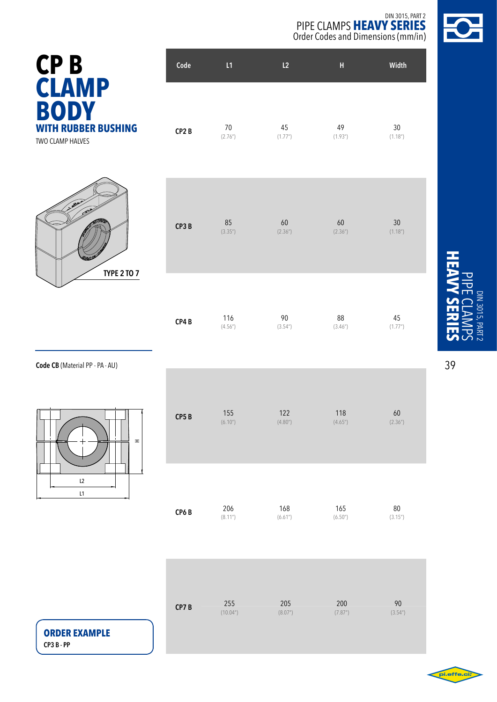

| <b>CPB</b>                                     | Code              | L1           | L <sub>2</sub> | н             | Width                       |
|------------------------------------------------|-------------------|--------------|----------------|---------------|-----------------------------|
| <b>CLAMP</b><br><b>BODY</b>                    |                   |              |                |               |                             |
| <b>WITH RUBBER BUSHING</b><br>TWO CLAMP HALVES | CP <sub>2</sub> B | 70<br>(2.76) | 45<br>(1.77")  | 49<br>(1.93") | 30<br>(1.18 <sup>''</sup> ) |



|  | CP3B | 85<br>(3.35") | 60<br>(2.36") | 60<br>(2.36") | 30<br>(1.18 <sup>''</sup> ) |
|--|------|---------------|---------------|---------------|-----------------------------|
|--|------|---------------|---------------|---------------|-----------------------------|

| CP4 B | 116     | 90     | 88      | 45      |
|-------|---------|--------|---------|---------|
|       | (4.56") | (3.54) | (3.46") | (1.77") |

**Code CB** (Material PP - PA - AU)



| CP5B | 155                   | 122                   | 118     | 60      |
|------|-----------------------|-----------------------|---------|---------|
|      | (6.10 <sup>''</sup> ) | (4.80 <sup>''</sup> ) | (4.65") | (2.36") |
| CP6B | 206                   | 168                   | 165     | 80      |
|      | (8.11")               | (6.61 <sup>n</sup> )  | (6.50") | (3.15") |

| CP7B | 255      | 205     | 200                   | 90                   |
|------|----------|---------|-----------------------|----------------------|
|      | (10.04") | (8.07") | (7.87 <sup>''</sup> ) | (3.54 <sup>n</sup> ) |

**ORDER EXAMPLE CP3 B - PP**

**heavy series** pipe cl DIN 3015, PART DIN 3015, PART 2  $\blacktriangleright$  $\leq$  $\overline{\mathbf{C}}$  $\mathcal{C}$ 

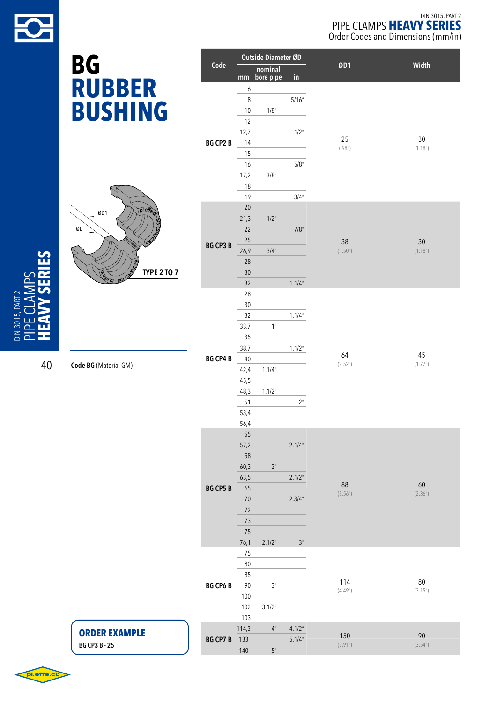

### DIN 3015, PART 2 PIPE CLAMPS HEAVY SERIES Order Codes and Dimensions (mm/in)

|                         | <b>BG</b>                | Code                |                   | <b>Outside Diameter ØD</b> |                | ØD1            | Width         |
|-------------------------|--------------------------|---------------------|-------------------|----------------------------|----------------|----------------|---------------|
|                         |                          |                     |                   | nominal<br>mm bore pipe    | in             |                |               |
|                         | <b>RUBBER</b>            |                     | 6                 |                            |                |                |               |
|                         | <b>BUSHING</b>           |                     | $\,8\,$<br>$10\,$ | 1/8"                       | 5/16''         |                |               |
|                         |                          |                     | 12                |                            |                |                |               |
|                         |                          | <b>BG CP2 B</b>     | 12,7<br>14        |                            | 1/2"           | 25             | $30\,$        |
|                         |                          |                     | 15                |                            |                | (.98")         | (1.18")       |
|                         |                          |                     | 16                |                            | $5/8$ "        |                |               |
|                         |                          |                     | 17,2<br>$18$      | $3/8$ "                    |                |                |               |
|                         | $p!$ .elle<br>ØD1<br>ØD  |                     | 19                |                            | 3/4''          |                |               |
|                         |                          |                     | $20\,$            |                            |                |                |               |
|                         |                          |                     | 21,3<br>22        | 1/2"                       | $7/8$          |                |               |
|                         |                          |                     | 25                |                            |                | 38             | 30            |
|                         |                          | <b>BG CP3 B</b>     | 26,9              | 3/4''                      |                | (1.50")        | (1.18")       |
|                         | <b>TYPE 2 TO 7</b>       |                     | 28<br>$30\,$      |                            |                |                |               |
|                         | <b>Selfe Cl</b><br>BC CO |                     | 32                |                            | 1.1/4"         |                |               |
|                         |                          |                     | 28                |                            |                |                |               |
| DIN 3015, PART 2        |                          |                     | $30\,$<br>$32\,$  |                            | 1.1/4"         |                |               |
| $\Omega$                |                          |                     | 33,7              | $1n$                       |                |                |               |
| $\overline{\mathbf{a}}$ |                          |                     | 35                |                            |                |                |               |
|                         |                          | <b>BG CP4 B</b>     | 38,7              |                            | 1.1/2"         | 64             | 45            |
| 40                      | Code BG (Material GM)    |                     | 40<br>42,4        | 1.1/4''                    |                | (2.52")        | (1.77")       |
|                         |                          |                     | 45,5              |                            |                |                |               |
|                         |                          |                     | 48,3<br>51        | 1.1/2"                     | $2n$           |                |               |
|                         |                          |                     | 53,4              |                            |                |                |               |
|                         |                          |                     | 56,4              |                            |                |                |               |
|                         |                          |                     | 55<br>57,2        |                            | 2.1/4"         |                |               |
|                         |                          |                     | 58                |                            |                |                |               |
|                         |                          |                     | 60,3              | $2n$                       |                |                |               |
|                         |                          | <b>BG CP5 B</b>     | 63,5<br>65        |                            | 2.1/2"         | ${\bf 88}$     | 60            |
|                         |                          |                     | $70\,$            |                            | 2.3/4"         | (3.56")        | (2.36")       |
|                         |                          |                     | $72\,$            |                            |                |                |               |
|                         |                          |                     | $73$<br>$75\,$    |                            |                |                |               |
|                         |                          |                     | 76,1              | 2.1/2"                     | 3 <sup>n</sup> |                |               |
|                         |                          |                     | 75                |                            |                |                |               |
|                         |                          |                     | 80<br>85          |                            |                |                |               |
|                         |                          | <b>BG CP6 B</b>     | 90                | $3n$                       |                | 114            | $80\,$        |
|                         |                          |                     | 100               |                            |                | (4.49")        | (3.15")       |
|                         |                          |                     | 102<br>103        | 3.1/2"                     |                |                |               |
|                         | <b>ORDER EXAMPLE</b>     |                     | 114,3             | $4$ "                      | 4.1/2"         |                |               |
|                         | <b>BG CP3 B - 25</b>     | <b>BG CP7 B</b> 133 |                   |                            | 5.1/4"         | 150<br>(5.91") | 90<br>(3.54") |
|                         |                          |                     | 140               | $5''$                      |                |                |               |

pi.effe.ci: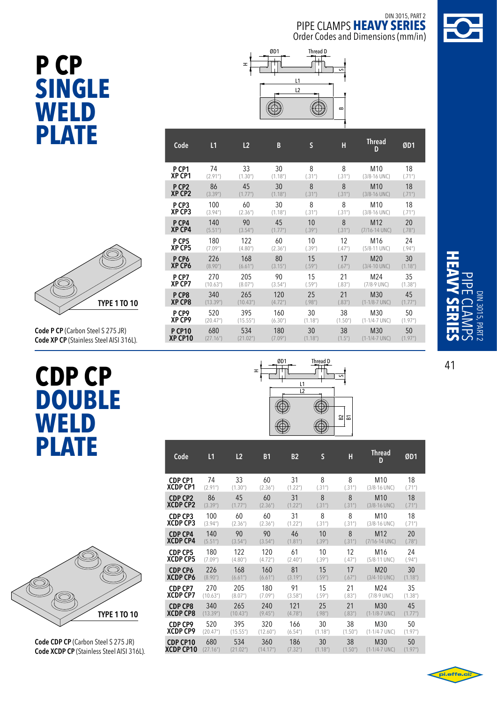

# **P CP single WELD plate**



180 122 60 10 12 M16 24 **180 122 60 10 12 M16 24**<br>(7.09") (4.80") (2.36") (.39") (.47") (5/8-11 UNC) (.94")

226 168 80 15 17 M20 30 (8.90") (6.61") (3.15") (.59") (.67") (3/4-10 UNC) (1.18")

270 205 90 15 21 M24 35 (10.63") (8.07") (3.54") (.59") (.83") (7/8-9 UNC) (1.38")

340 265 120 25 21 M30 45 (13.39") (10.43") (4.72") (.98") (.83") (1-1/8-7 UNC) (1.77")

520 395 160 30 38 M30 50 (20.47") (15.55") (6.30") (1.18") (1.50") (1-1/4-7 UNC) (1.97")

680 534 180 30 38 M30 50 (27.16") (21.02") (7.09") (1.18") (1.5") (1-1/4-7 UNC) (1.97")



**P CP1 XP CP1**

**P CP2 XP CP2**

**P CP3 XP CP3**

**P CP4 XP CP4**

**P CP5 XP CP5**

**P CP6 XP CP6**

**P CP7 XP CP7**

**P CP8 XP CP8**

**P CP9 XP CP9**

**P CP10 XP CP10**

```
Code P CP (Carbon Steel S 275 JR) 
Code XP CP (Stainless Steel AISI 316L).
```
# **CDP CP DOUBle WELD plate**



**Code CDP CP** (Carbon Steel S 275 JR) **Code XCDP CP** (Stainless Steel AISI 316L).

| ØD1 | L1 | Thread D | 5            |   |
|-----|----|----------|--------------|---|
|     | L2 |          |              |   |
|     |    |          |              |   |
|     |    |          | $\mathbf{S}$ | F |

ᆂ

| Code            | L <sub>1</sub> | L <sub>2</sub>        | <b>B1</b> | <b>B2</b>             | S                     | Н       | Thread<br>D      | ØD1                   |
|-----------------|----------------|-----------------------|-----------|-----------------------|-----------------------|---------|------------------|-----------------------|
| CDP CP1         | 74             | 33                    | 60        | 31                    | 8                     | 8       | M10              | 18                    |
| <b>XCDP CP1</b> | (2.91")        | (1.30")               | (2.36)    | (1.22")               | (.31")                | (.31")  | $(3/8 - 16$ UNC) | (.71")                |
| CDP CP2         | 86             | 45                    | 60        | 31                    | 8                     | 8       | M <sub>10</sub>  | 18                    |
| XCDP CP2        | (3.39")        | (1.77")               | (2.36")   | (1.22 <sup>''</sup> ) | (.31")                | (.31")  | $(3/8 - 16$ UNC) | (.71")                |
| <b>CDP CP3</b>  | 100            | 60                    | 60        | 31                    | 8                     | 8       | M10              | 18                    |
| XCDP CP3        | (3.94")        | (2.36")               | (2.36)    | (1.22")               | (.31")                | (.31")  | $(3/8 - 16$ UNC) | (.71")                |
| <b>CDP CP4</b>  | 140            | 90                    | 90        | 46                    | 10                    | 8       | M <sub>12</sub>  | 20                    |
| <b>XCDP CP4</b> | (5.51")        | (3.54 <sup>''</sup> ) | (3.54)    | (1.81")               | (.39")                | (.31")  | (7/16-14 UNC)    | (.78")                |
| <b>CDP CP5</b>  | 180            | 122                   | 120       | 61                    | 10                    | 12      | M <sub>16</sub>  | 24                    |
| <b>XCDP CP5</b> | (7.09")        | (4.80)                | (4.72)    | (2.40")               | (.39")                | (.47")  | (5/8-11 UNC)     | (.94")                |
| <b>CDP CP6</b>  | 226            | 168                   | 160       | 81                    | 15                    | 17      | M <sub>20</sub>  | 30                    |
| <b>XCDP CP6</b> | (8.90")        | (6.61)                | (6.61)    | (3.19")               | (.59")                | (.67")  | $(3/4 - 10$ UNC) | (1.18")               |
| CDP CP7         | 270            | 205                   | 180       | 91                    | 15                    | 21      | M24              | 35                    |
| <b>XCDP CP7</b> | (10.63")       | (8.07 <sup>''</sup> ) | (7.09")   | (3.58 <sup>''</sup> ) | (.59")                | (.83")  | $(7/8-9$ UNC)    | (1.38 <sup>''</sup> ) |
| <b>CDP CP8</b>  | 340            | 265                   | 240       | 121                   | 25                    | 21      | M30              | 45                    |
| <b>XCDP CP8</b> | (13.39")       | (10.43")              | (9.45")   | (4.78 <sup>u</sup> )  | (.98")                | (.83")  | $(1-1/8-7$ UNC)  | (1.77")               |
| CDP CP9         | 520            | 395                   | 320       | 166                   | 30                    | 38      | M30              | 50                    |
| <b>XCDP CP9</b> | (20.47")       | (15.55")              | (12.60)   | (6.54")               | (1.18")               | (1.50") | $(1-1/4-7$ UNC)  | (1.97")               |
| CDP CP10        | 680            | 534                   | 360       | 186                   | 30                    | 38      | M30              | 50                    |
| XCDP CP10       | (27.16")       | (21.02")              | (14.17")  | (7.32 <sup>n</sup> )  | (1.18 <sup>''</sup> ) | (1.50") | $(1-1/4-7$ UNC)  | (1.97")               |



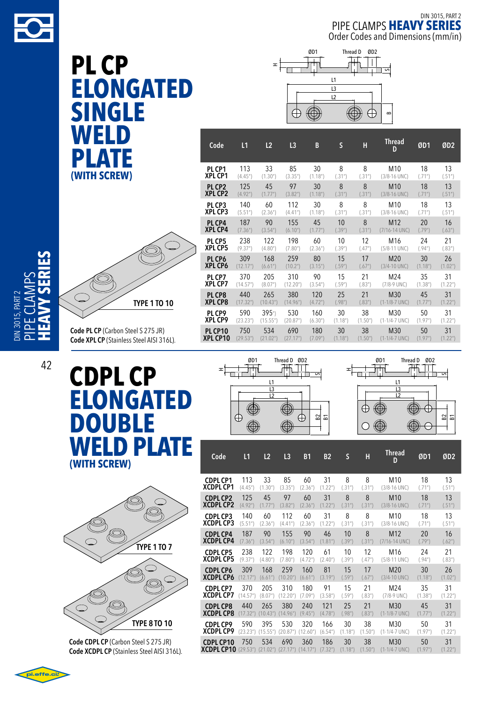

**PL CP elongated single weld plate (with screw)**



**Code PL CP** (Carbon Steel S 275 JR) **Code XPL CP** (Stainless Steel AISI 316L).

# **CDPL CP elongated DOUBle weld plate (with screw)**



**Code CDPL CP** (Carbon Steel S 275 JR) **Code XCDPL CP** (Stainless Steel AISI 316L).



| Code               | L1                     | L2                    | L <sub>3</sub>        | B                     | S                     | Н                     | <b>Thread</b><br>D | ØD1                   | ØD <sub>2</sub>      |
|--------------------|------------------------|-----------------------|-----------------------|-----------------------|-----------------------|-----------------------|--------------------|-----------------------|----------------------|
| PL CP1             | 113                    | 33                    | 85                    | 30                    | 8                     | 8                     | M <sub>10</sub>    | 18                    | 13                   |
| XPL CP1            | (4.45")                | (1.30 <sup>''</sup> ) | (3.35")               | (1.18 <sup>''</sup> ) | (.31")                | (.31")                | (3/8-16 UNC)       | (.71")                | (.51")               |
| PL CP <sub>2</sub> | 125                    | 45                    | 97                    | 30                    | 8                     | 8                     | M <sub>10</sub>    | 18                    | 13                   |
| <b>XPL CP2</b>     | (4.92")                | (1.77")               | (3.82 <sup>''</sup> ) | (1.18 <sup>''</sup> ) | (.31")                | (.31")                | $(3/8 - 16$ UNC)   | (.71")                | (.51")               |
| PL CP3             | 140                    | 60                    | 112                   | 30                    | 8                     | 8                     | M <sub>10</sub>    | 18                    | 13                   |
| <b>XPL CP3</b>     | (5.51")                | (2.36")               | (4.41")               | (1.18 <sup>''</sup> ) | (.31")                | (.31")                | (3/8-16 UNC)       | (.71")                | (.51")               |
| PL CP4             | 187                    | 90                    | 155                   | 45                    | 10                    | 8                     | M <sub>12</sub>    | 20                    | 16                   |
| <b>XPL CP4</b>     | (7.36")                | (3.54 <sup>''</sup> ) | (6.10 <sup>''</sup> ) | (1.77")               | (.39")                | (.31")                | (7/16-14 UNC)      | (.79")                | (.63")               |
| PL CP5             | 238                    | 122                   | 198                   | 60                    | 10                    | 12                    | M <sub>16</sub>    | 24                    | 21                   |
| <b>XPL CP5</b>     | (9.37")                | (4.80)                | (7.80)                | (2.36")               | (.39")                | (.47")                | (5/8-11 UNC)       | (.94")                | (.83")               |
| PL CP6             | 309                    | 168                   | 259                   | 80                    | 15                    | 17                    | M <sub>20</sub>    | 30                    | 26                   |
| <b>XPL CP6</b>     | (12.17")               | (6.61")               | (10.2 <sup>n</sup> )  | (3.15 <sup>''</sup> ) | (.59")                | (.67")                | $(3/4 - 10$ UNC)   | (1.18")               | (1.02 <sup>n</sup> ) |
| PL CP7             | 370                    | 205                   | 310                   | 90                    | 15                    | 21                    | M24                | 35                    | 31                   |
| <b>XPL CP7</b>     | (14.57")               | (8.07")               | (12.20")              | (3.54 <sup>''</sup> ) | (.59")                | (.83")                | $(7/8.9$ UNC)      | (1.38 <sup>''</sup> ) | (1.22 <sup>n</sup> ) |
| PL CP8             | 440                    | 265                   | 380                   | 120                   | 25                    | 21                    | M30                | 45                    | 31                   |
| <b>XPL CP8</b>     | (17.32 <sup>''</sup> ) | (10.43")              | (14.96")              | (4.72 <sup>''</sup> ) | (.98")                | (.83")                | $(1-1/8-7$ UNC)    | (1.77")               | (1.22 <sup>n</sup> ) |
| PL CP9             | 590                    | 395"                  | 530                   | 160                   | 30                    | 38                    | M30                | 50                    | 31                   |
| <b>XPL CP9</b>     | (23.23")               | (15.55")              | (20.87")              | (6.30 <sup>''</sup> ) | (1.18")               | (1.50")               | $(1-1/4-7$ UNC)    | (1.97")               | (1.22 <sup>n</sup> ) |
| <b>PL CP10</b>     | 750                    | 534                   | 690                   | 180                   | 30                    | 38                    | M30                | 50                    | 31                   |
| XPL CP10           | (29.53")               | (21.02")              | (27.17")              | (7.09")               | (1.18 <sup>''</sup> ) | (1.50 <sup>''</sup> ) | $(1-1/4-7$ UNC)    | (1.97")               | (1.22 <sup>n</sup> ) |





| Code              | L1                     | L2       | L3                    | <b>B1</b>             | <b>B2</b>             | $\mathsf{S}$          | Н       | <b>Thread</b><br>D | ØD1                   | ØD <sub>2</sub>       |
|-------------------|------------------------|----------|-----------------------|-----------------------|-----------------------|-----------------------|---------|--------------------|-----------------------|-----------------------|
| <b>CDPL CP1</b>   | 113                    | 33       | 85                    | 60                    | 31                    | 8                     | 8       | M <sub>10</sub>    | 18                    | 13                    |
| <b>XCDPL CP1</b>  | (4.45")                | (1.30")  | (3.35")               | (2.36")               | (1.22 <sup>n</sup> )  | (.31")                | (.31")  | (3/8-16 UNC)       | (.71")                | (.51")                |
| <b>CDPL CP2</b>   | 125                    | 45       | 97                    | 60                    | 31                    | 8                     | 8       | M <sub>10</sub>    | 18                    | 13                    |
| <b>XCDPL CP2</b>  | (4.92")                | (1.77")  | (3.82 <sup>''</sup> ) | (2.36")               | (1.22 <sup>n</sup> )  | (.31")                | (.31")  | $(3/8 - 16$ UNC)   | (.71")                | (.51")                |
| <b>CDPL CP3</b>   | 140                    | 60       | 112                   | 60                    | 31                    | 8                     | 8       | M <sub>10</sub>    | 18                    | 13                    |
| <b>XCDPL CP3</b>  | (5.51")                | (2.36")  | (4.41")               | (2.36")               | (1.22 <sup>n</sup> )  | (.31")                | (.31")  | $(3/8 - 16$ UNC)   | (.71")                | (.51")                |
| <b>CDPL CP4</b>   | 187                    | 90       | 155                   | 90                    | 46                    | 10                    | 8       | M <sub>12</sub>    | 20                    | 16                    |
| <b>XCDPL CP4</b>  | (7.36")                | (3.54")  | (6.10 <sup>u</sup> )  | (3.54 <sup>''</sup> ) | (1.81")               | (.39")                | (.31")  | $(7/16 - 14$ UNC)  | (.79")                | (.62")                |
| <b>CDPL CP5</b>   | 238                    | 122      | 198                   | 120                   | 61                    | 10                    | 12      | M <sub>16</sub>    | 24                    | 21                    |
| XCDPL CP5         | (9.37")                | (4.80)   | (7.80)                | (4.72 <sup>''</sup> ) | (2.40")               | (.39")                | (.47")  | (5/8-11 UNC)       | (.94")                | (.83")                |
| <b>CDPL CP6</b>   | 309                    | 168      | 259                   | 160                   | 81                    | 15                    | 17      | M <sub>20</sub>    | 30                    | 26                    |
| <b>XCDPL CP6</b>  | (12.17"                | (6.61")  | (10.20)               | (6.61″)               | (3.19")               | (.59")                | (.67")  | $(3/4 - 10$ UNC)   | (1.18")               | (1.02 <sup>''</sup> ) |
| <b>CDPL CP7</b>   | 370                    | 205      | 310                   | 180                   | 91                    | 15                    | 21      | M24                | 35                    | 31                    |
| XCDPL CP7         | (14.57 <sup>u</sup> )  | (8.07")  | (12.20")              | (7.09")               | (3.58 <sup>''</sup> ) | (.59")                | (.83")  | (7/8-9 UNC)        | (1.38 <sup>''</sup> ) | (1.22 <sup>n</sup> )  |
| <b>CDPL CP8</b>   | 440                    | 265      | 380                   | 240                   | 121                   | 25                    | 21      | M30                | 45                    | 31                    |
| <b>XCDPL CP8</b>  | (17.32 <sup>''</sup> ) | (10.43") | (14.96")              | (9.45"                | (4.78 <sup>''</sup> ) | (.98")                | (.83")  | (1-1/8-7 UNC)      | (1.77")               | (1.22 <sup>n</sup> )  |
| <b>CDPL CP9</b>   | 590                    | 395      | 530                   | 320                   | 166                   | 30                    | 38      | M30                | 50                    | 31                    |
| <b>XCDPL CP9</b>  | (23.23")               | (15.55") | (20.87")              | (12.60)               | (6.54")               | (1.18 <sup>''</sup> ) | (1.50") | $(1-1/4-7$ UNC)    | (1.97")               | (1.22 <sup>n</sup> )  |
| <b>CDPL CP10</b>  | 750                    | 534      | 690                   | 360                   | 186                   | 30                    | 38      | M30                | 50                    | 31                    |
| <b>XCDPL CP10</b> | (29.53")               | (21.02") | (27.17")              | (14.17")              | (7.32 <sup>''</sup> ) | (1.18 <sup>''</sup> ) | (1.50") | $(1-1/4-7$ UNC)    | (1.97")               | (1.22 <sup>n</sup> )  |



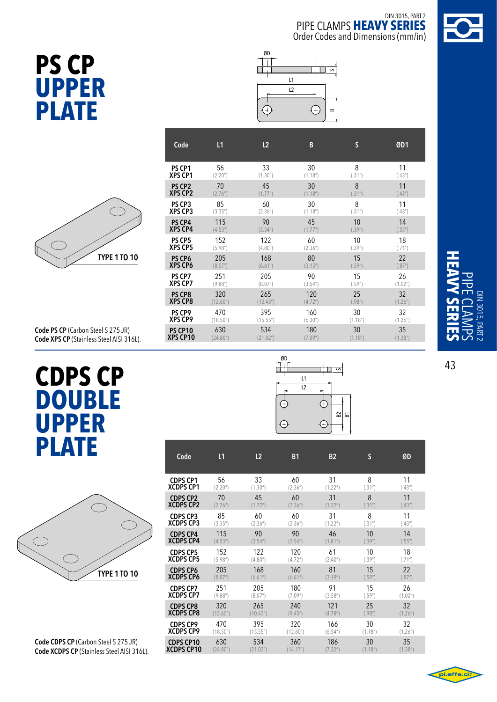





|                     | <b>XPS</b> |
|---------------------|------------|
|                     | PS<br>XPS  |
|                     | PS<br>XPS  |
|                     | PS<br>XPS  |
|                     | PS<br>XPS  |
| <b>TYPE 1 TO 10</b> | PS<br>XPS  |
|                     | --         |

| Code               | L1                    | L2                    | B                     | S                     | ØD1                   |
|--------------------|-----------------------|-----------------------|-----------------------|-----------------------|-----------------------|
| PS CP1             | 56                    | 33                    | 30                    | 8                     | 11                    |
| <b>XPS CP1</b>     | (2.20")               | (1.30")               | (1.18 <sup>''</sup> ) | (.31")                | (.43")                |
| PS CP <sub>2</sub> | 70                    | 45                    | 30                    | 8                     | 11                    |
| <b>XPS CP2</b>     | (2.76)                | (1.77")               | (1.18 <sup>''</sup> ) | (.31")                | (.43")                |
| PS CP3             | 85                    | 60                    | 30                    | 8                     | 11                    |
| XPS CP3            | (3.35")               | (2.36")               | (1.18 <sup>''</sup> ) | (.31")                | (.43")                |
| <b>PS CP4</b>      | 115                   | 90                    | 45                    | 10                    | 14                    |
| <b>XPS CP4</b>     | (4.53")               | (3.54 <sup>''</sup> ) | (1.77")               | (.39")                | (.55")                |
| PS CP5             | 152                   | 122                   | 60                    | 10                    | 18                    |
| <b>XPS CP5</b>     | (5.98 <sup>''</sup> ) | (4.80)                | (2.36")               | (.39")                | (.71")                |
| PS CP6             | 205                   | 168                   | 80                    | 15                    | 22                    |
| <b>XPS CP6</b>     | (8.07")               | (6.61")               | (3.15")               | (.59")                | (.87")                |
| PS CP7             | 251                   | 205                   | 90                    | 15                    | 26                    |
| <b>XPS CP7</b>     | (9.88 <sup>''</sup> ) | (8.07")               | (3.54 <sup>''</sup> ) | (.59")                | (1.02 <sup>n</sup> )  |
| PS CP8             | 320                   | 265                   | 120                   | 25                    | 32                    |
| <b>XPS CP8</b>     | (12.60)               | (10.43")              | (4.72 <sup>''</sup> ) | (.98")                | (1.26")               |
| PS CP9             | 470                   | 395                   | 160                   | 30                    | 32                    |
| <b>XPS CP9</b>     | (18.50")              | (15.55")              | (6.30")               | (1.18 <sup>''</sup> ) | (1.26")               |
| PS CP10            | 630                   | 534                   | 180                   | 30                    | 35                    |
| XPS CP10           | (24.80)               | (21.02")              | (7.09")               | (1.18 <sup>''</sup> ) | (1.38 <sup>''</sup> ) |

**Code PS CP** (Carbon Steel S 275 JR) **Code XPS CP** (Stainless Steel AISI 316L).

# **CDPS CP double upper plate**



**Code CDPS CP** (Carbon Steel S 275 JR) **Code XCDPS CP** (Stainless Steel AISI 316L).



| Code             | L1                    | L <sub>2</sub> | <b>B1</b>             | <b>B2</b>             | S                     | ØD                    |
|------------------|-----------------------|----------------|-----------------------|-----------------------|-----------------------|-----------------------|
| <b>CDPS CP1</b>  | 56                    | 33             | 60                    | 31                    | 8                     | 11                    |
| <b>XCDPS CP1</b> | (2.20 <sup>''</sup> ) | (1.30")        | (2.36")               | (1.22 <sup>n</sup> )  | (.31")                | (.43")                |
| <b>CDPS CP2</b>  | 70                    | 45             | 60                    | 31                    | 8                     | 11                    |
| <b>XCDPS CP2</b> | (2.76")               | (1.77")        | (2.36")               | (1.22")               | (.31")                | (.43")                |
| <b>CDPS CP3</b>  | 85                    | 60             | 60                    | 31                    | 8                     | 11                    |
| <b>XCDPS CP3</b> | (3.35")               | (2.36")        | (2.36")               | (1.22")               | (.31")                | (.43")                |
| <b>CDPS CP4</b>  | 115                   | 90             | 90                    | 46                    | 10                    | 14                    |
| <b>XCDPS CP4</b> | (4.53 <sup>''</sup> ) | (3.54")        | (3.54 <sup>''</sup> ) | (1.81")               | (.39")                | (.55")                |
| <b>CDPS CP5</b>  | 152                   | 122            | 120                   | 61                    | 10                    | 18                    |
| <b>XCDPS CP5</b> | (5.98 <sup>''</sup> ) | (4.80)         | (4.72 <sup>''</sup> ) | (2.40 <sup>''</sup> ) | (.39")                | (.71")                |
| <b>CDPS CP6</b>  | 205                   | 168            | 160                   | 81                    | 15                    | 22                    |
| <b>XCDPS CP6</b> | (8.07")               | (6.61")        | (6.61)                | (3.19")               | (.59")                | (.87")                |
| <b>CDPS CP7</b>  | 251                   | 205            | 180                   | 91                    | 15                    | 26                    |
| <b>XCDPS CP7</b> | (9.88 <sup>''</sup> ) | (8.07")        | (7.09")               | (3.58 <sup>''</sup> ) | (.59")                | (1.02")               |
| <b>CDPS CP8</b>  | 320                   | 265            | 240                   | 121                   | 25                    | 32                    |
| <b>XCDPS CP8</b> | (12.60")              | (10.43")       | (9.45")               | (4.78 <sup>''</sup> ) | (.98")                | (1.26")               |
| <b>CDPS CP9</b>  | 470                   | 395            | 320                   | 166                   | 30                    | 32                    |
| <b>XCDPS CP9</b> | (18.50")              | (15.55")       | (12.60)               | (6.54")               | (1.18 <sup>''</sup> ) | (1.26)                |
| <b>CDPS CP10</b> | 630                   | 534            | 360                   | 186                   | 30                    | 35                    |
| XCDPS CP10       | (24.80)               | (21.02")       | (14.17"               | (7.32")               | (1.18 <sup>''</sup> ) | (1.38 <sup>''</sup> ) |
|                  |                       |                |                       |                       |                       |                       |

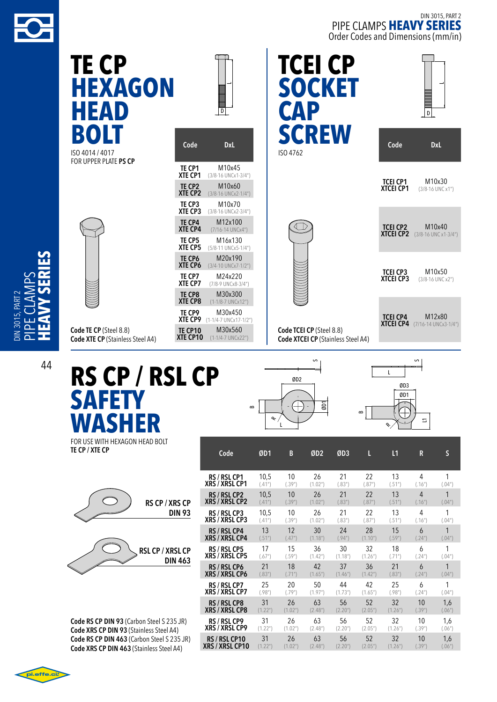

DIN 3015, PART 2 pipe cl

3015 PART

 $\blacktriangleleft$  $\geq$  $\mathsf n$  $\mathcal{\mathcal{L}}$ 

DIN 3015, PART 2 pipe clamps **heavy series** Order Codes and Dimensions (mm/in)

 $\overline{\phantom{0}}$ 

| TE CP<br><b>HEXAGON</b><br>HEAD                                   | $\vert \overline{D} \vert$                                                                                                              | <b>TCEI CP</b><br><b>SOCKET</b><br><b>CAP</b>                         | $\sqrt{p}$                                                         |
|-------------------------------------------------------------------|-----------------------------------------------------------------------------------------------------------------------------------------|-----------------------------------------------------------------------|--------------------------------------------------------------------|
| BOLT<br>ISO 4014 / 4017                                           | Code<br><b>DxL</b>                                                                                                                      | <b>SCREW</b><br>ISO 4762                                              | Code<br><b>DxL</b>                                                 |
| FOR UPPER PLATE PS CP                                             | M10x45<br>TE CP1<br>XTE CP1<br>(3/8-16 UNCx1-3/4")<br>M10x60<br>TE CP2<br>XTE CP2<br>(3/8-16 UNCx2-1/4")                                |                                                                       | <b>TCEI CP1</b><br>M10x30<br><b>XTCEI CP1</b><br>(3/8-16 UNC x1")  |
|                                                                   | M10x70<br>TE CP3<br>XTE CP3<br>(3/8-16 UNCx2-3/4")<br>M12x100<br>TE CP4<br><b>XTE CP4</b><br>(7/16-14 UNCx4")                           |                                                                       | <b>TCEI CP2</b><br>M10x40<br><b>XTCEI CP2</b> (3/8-16 UNC x1-3/4") |
|                                                                   | M16x130<br>TE CP5<br>XTE CP5<br>(5/8-11 UNCx5-1/4")<br>TE CP6<br>M20x190<br>XTE CP6<br>$(3/4 - 10$ UNCx7 $-1/2$ ")<br>M24x220<br>TE CP7 |                                                                       | M10x50<br><b>TCEI CP3</b>                                          |
|                                                                   | XTE CP7<br>(7/8-9 UNCx8-3/4")<br>M30x300<br>TE CP8<br><b>XTE CP8</b><br>$(1-1/8-7$ UNCx12")<br>M30x450<br>TE CP9                        |                                                                       | <b>XTCEI CP3</b><br>(3/8-16 UNC x2")                               |
| Code TE CP (Steel 8.8)<br><b>Code XTE CP (Stainless Steel A4)</b> | <b>XTE CP9</b> (1-1/4-7 UNCx17-1/2")<br>M30x560<br>TE CP10<br>XTE CP10<br>$(1-1/4-7$ UNCx22")                                           | Code TCEI CP (Steel 8.8)<br><b>Code XTCEI CP (Stainless Steel A4)</b> | M12x80<br><b>TCEI CP4</b><br><b>XTCEI CP4</b> (7/16-14 UNCx3-1/4") |

R

**W** FOR use with hexagon head bolt **TE CP / XTE CP**



**Code RS CP DIN 93** (Carbon Steel S 235 JR) **Code XRS CP DIN 93** (Stainless Steel A4) **Code RS CP DIN 463** (Carbon Steel S 235 JR) **Code XRS CP DIN 463** (Stainless Steel A4)

|                        |                      | L                    |                       |                       |                       | $\mathcal{L}_{\mathcal{A}}$ |                |        |
|------------------------|----------------------|----------------------|-----------------------|-----------------------|-----------------------|-----------------------------|----------------|--------|
| Code                   | ØD1                  | B                    | ØD <sub>2</sub>       | ØD3                   | L                     | L1                          | R              | S      |
| RS / RSL CP1           | 10,5                 | 10                   | 26                    | 21                    | 22                    | 13                          | 4              | 1      |
| <b>XRS / XRSL CP1</b>  | (.41")               | (.39")               | (1.02")               | (.83")                | (.87")                | (.51")                      | (.16")         | (.04") |
| RS / RSL CP2           | 10,5                 | 10                   | 26                    | 21                    | 22                    | 13                          | $\overline{4}$ | 1      |
| <b>XRS / XRSL CP2</b>  | (.41")               | (.39")               | (1.02")               | (.83")                | (.87")                | (.51")                      | (.16")         | (.04") |
| RS / RSL CP3           | 10,5                 | 10                   | 26                    | 21                    | 22                    | 13                          | 4              | 1      |
| <b>XRS / XRSL CP3</b>  | (.41")               | (.39")               | (1.02")               | (.83")                | (.87")                | (.51")                      | (.16")         | (.04") |
| RS / RSL CP4           | 13                   | 12                   | 30                    | 24                    | 28                    | 15                          | 6              | 1      |
| <b>XRS / XRSL CP4</b>  | (.51")               | (.47")               | (1.18")               | (.94")                | (1.10 <sup>''</sup> ) | (.59")                      | (.24")         | (.04") |
| <b>RS / RSL CP5</b>    | 17                   | 15                   | 36                    | 30                    | 32                    | 18                          | 6              | 1      |
| <b>XRS / XRSL CP5</b>  | (.67")               | (.59")               | (1.42")               | (1.18 <sup>''</sup> ) | (1.26")               | (.71")                      | (.24")         | (.04") |
| RS / RSL CP6           | 21                   | 18                   | 42                    | 37                    | 36                    | 21                          | 6              | 1      |
| <b>XRS / XRSL CP6</b>  | (.83")               | (.71")               | (1.65")               | (1.46")               | (1.42 <sup>n</sup> )  | (.83")                      | (.24")         | (.04") |
| RS / RSL CP7           | 25                   | 20                   | 50                    | 44                    | 42                    | 25                          | 6              | 1      |
| <b>XRS / XRSL CP7</b>  | (.98")               | (.79")               | (1.97")               | (1.73")               | (1.65")               | (.98")                      | (.24")         | (.04") |
| RS / RSL CP8           | 31                   | 26                   | 63                    | 56                    | 52                    | 32                          | 10             | 1,6    |
| <b>XRS / XRSL CP8</b>  | (1.22")              | (1.02")              | (2.48 <sup>''</sup> ) | (2.20 <sup>u</sup> )  | (2.05")               | (1.26)                      | (.39")         | (.06") |
| RS / RSL CP9           | 31                   | 26                   | 63                    | 56                    | 52                    | 32                          | 10             | 1,6    |
| <b>XRS / XRSL CP9</b>  | (1.22")              | (1.02 <sup>n</sup> ) | (2.48 <sup>''</sup> ) | (2.20)                | (2.05")               | (1.26)                      | (.39")         | (.06") |
| RS / RSL CP10          | 31                   | 26                   | 63                    | 56                    | 52                    | 32                          | 10             | 1,6    |
| <b>XRS / XRSL CP10</b> | (1.22 <sup>n</sup> ) | (1.02 <sup>n</sup> ) | (2.48 <sup>''</sup> ) | (2.20 <sup>u</sup> )  | (2.05")               | (1.26)                      | (.39")         | (.06") |

œ

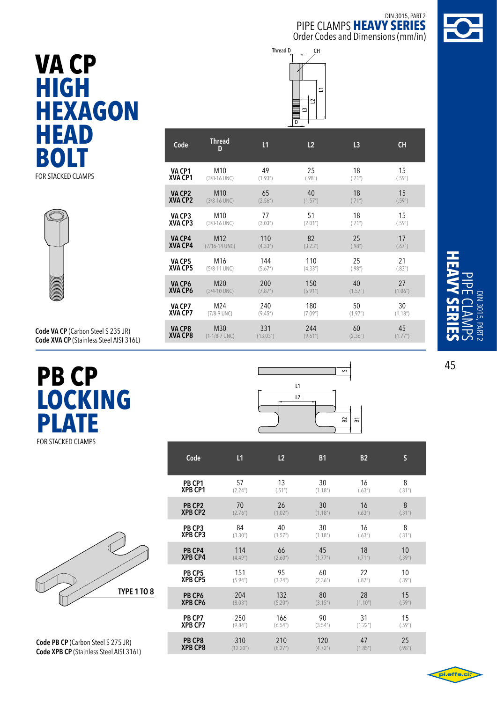CH







**Code VA CP** (Carbon Steel S 235 JR) **Code XVA CP** (Stainless Steel AISI 316L)

## **PB CP LOCKIN G PLATE** FOR STACKED CLAMPS



**PB CP8 XPB CP8**

**Code PB CP** (Carbon Steel S 275 JR) **Code XPB CP** (Stainless Steel AISI 316L)

#### **VA CP1 XVA CP1** M10 49 25 18 15  $(3/8.16 \text{ UNC})$   $(1.93")$   $(.98")$   $(.71")$   $(.59")$ **VA CP2 XVA CP2** M10 65 40 18 15  $(3/8.16 \text{ UNC})$   $(2.56")$   $(1.57")$   $(.71")$   $(.59")$ **VA CP3 XVA CP3** M10 77 51 18 15 (3/8-16 UNC) (3.03") (2.01")  $(.71")$  (.59") **VA CP4 XVA CP4** M12 110 82 25 17  $(7/16.14 \text{ UNC})$   $(4.33")$   $(3.23")$   $(.98")$   $(.67")$ **VA CP5 XVA CP5** M16 144 110 25 21 (5/8-11 UNC)  $(5.67")$   $(4.33")$   $(.98")$   $(.98")$   $(.83")$ **VA CP6 XVA CP6** M20 200 150 40 27 (3/4-10 UNC)  $(7.87")$   $(5.91")$   $(1.57")$   $(1.06")$ **VA CP7 XVA CP7** M24 240 180 50 30 (7/8-9 UNC) (9.45") (7.09") (1.97") (1.18") **VA CP8 XVA CP8** M30 331 244 60 45  $(1-1/8-7$  UNC)  $(13.03'')$   $(9.61'')$   $(2.36'')$   $(1.77'')$ **Code Thread <sup>D</sup> L1 L2 L3 CH**

 $\Box$  $\sim$  $\sim$  $\Xi$ 

Thread D



| Code               | L1                    | L <sub>2</sub>        | <b>B1</b>             | <b>B2</b>            | S      |
|--------------------|-----------------------|-----------------------|-----------------------|----------------------|--------|
| PB CP1             | 57                    | 13                    | 30                    | 16                   | 8      |
| <b>XPB CP1</b>     | (2.24 <sup>''</sup> ) | (.51")                | (1.18 <sup>''</sup> ) | (.63")               | (.31") |
| PB CP <sub>2</sub> | 70                    | 26                    | 30                    | 16                   | 8      |
| <b>XPB CP2</b>     | (2.76 <sup>n</sup> )  | (1.02 <sup>n</sup> )  | (1.18 <sup>''</sup> ) | (.63")               | (.31") |
| PB CP3             | 84                    | 40                    | 30                    | 16                   | 8      |
| <b>XPB CP3</b>     | (3.30")               | (1.57")               | (1.18 <sup>''</sup> ) | (.63")               | (.31") |
| PB CP4             | 114                   | 66                    | 45                    | 18                   | 10     |
| <b>XPB CP4</b>     | (4.49")               | (2.60)                | (1.77")               | (.71")               | (.39") |
| PB CP5             | 151                   | 95                    | 60                    | 22                   | 10     |
| <b>XPB CP5</b>     | (5.94)                | (3.74 <sup>''</sup> ) | (2.36")               | (.87")               | (.39") |
| PB CP6             | 204                   | 132                   | 80                    | 28                   | 15     |
| <b>XPB CP6</b>     | (8.03")               | (5.20 <sup>n</sup> )  | (3.15 <sup>''</sup> ) | (1.10 <sup>n</sup> ) | (.59") |
| PB CP7             | 250                   | 166                   | 90                    | 31                   | 15     |
| <b>XPB CP7</b>     | (9.84)                | (6.54 <sup>''</sup> ) | (3.54 <sup>''</sup> ) | (1.22 <sup>n</sup> ) | (.59") |

310 210 120 47 25 (12.20") (8.27") (4.72") (1.85") (.98")



45

DIN 3015, PART 2

DIN 3015, PART

pipe cl

**heavy series**

 $\blacktriangleright$  $\leq$  $\overline{\mathbf{C}}$  $\mathcal{C}$ 

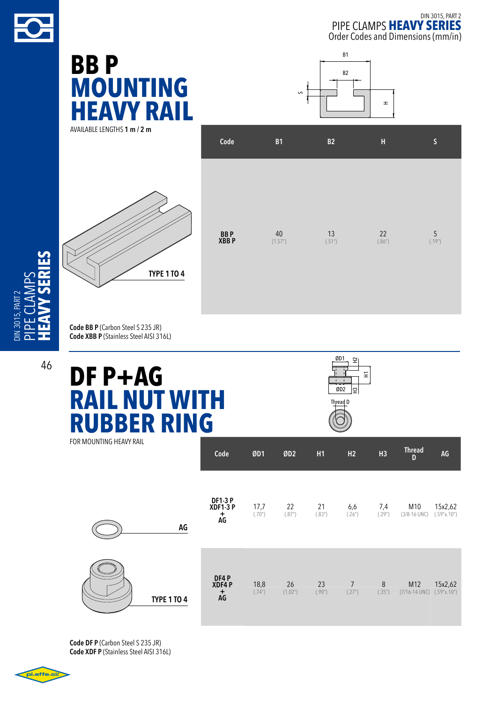

# **BB P MOUNTING heavy RAIL**

AVAILABLE lengthS **1 m / 2 m**



|               |               | $\mathbf{I}$ | H                |                        |
|---------------|---------------|--------------|------------------|------------------------|
| Code          | <b>B1</b>     | B2           | H                | $\mathsf{S}$           |
|               |               |              |                  |                        |
|               |               |              |                  |                        |
| BB P<br>XBB P | 40<br>(1.57") | 13<br>(.51") | $22\,$<br>(.86") | $\frac{5}{(.19^{''})}$ |
|               |               |              |                  |                        |
|               |               |              |                  |                        |

B2

B1

s

**Code BB P** (Carbon Steel S 235 JR) **Code XBB P** (Stainless Steel AISI 316L)

 $\blacktriangleleft$  $\geq$  $\mathsf n$  $\mathcal{\mathcal{L}}$ 

 $1013015. PAR$ 

## **DF P+AG RAIL NUT WITH RUBBER RING** for mounting heavy rail



Thread **AG** 

**Code ØD1 ØD2 H1 H2 H3 Thread**

| AG                 | <b>DF1-3 P</b><br>XDF1-3 P<br>$\mathop{\rm AG}^+$ | 17,7<br>(.70") | 22<br>(.87")  | 21<br>(.83") | 6,6<br>(.26") | 7,4<br>(.29")    | M10<br>15x2,62<br>$(3/8 - 16$ UNC)<br>(.59"x.10") |
|--------------------|---------------------------------------------------|----------------|---------------|--------------|---------------|------------------|---------------------------------------------------|
| <b>TYPE 1 TO 4</b> | DF4 P<br>XDF4 P<br>$\mathop{\rm AG}^+$            | 18,8<br>(.74") | 26<br>(1,02") | 23<br>(.90") | 7<br>(.27")   | $\, 8$<br>(.35") | M12<br>15x2,62<br>$(7/16-14$ UNC)<br>(.59"x.10")  |

**Code DF P** (Carbon Steel S 235 JR) **Code XDF P** (Stainless Steel AISI 316L)

i.effe.ci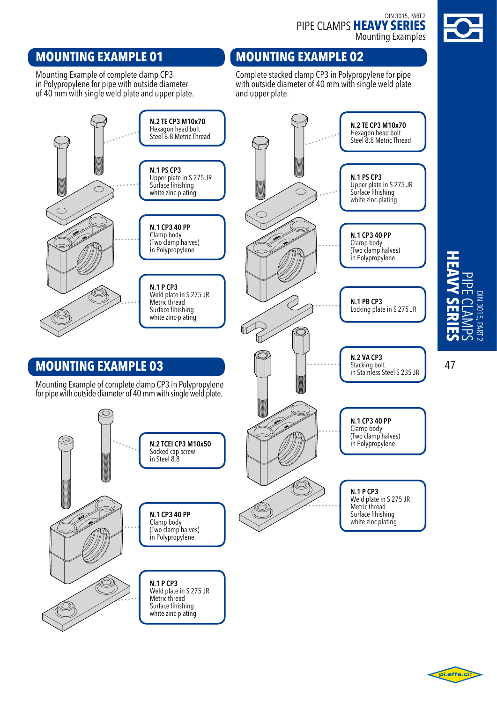### DIN 3015, PART 2 pipe clamps **heavy series** Mounting Examples



### **mounting EXAMPLE 01**

Mounting Example of complete clamp CP3 in Polypropylene for pipe with outside diameter of 40 mm with single weld plate and upper plate.

### **mounting EXAMPLE 02**

Complete stacked clamp CP3 in Polypropylene for pipe with outside diameter of 40 mm with single weld plate and upper plate.